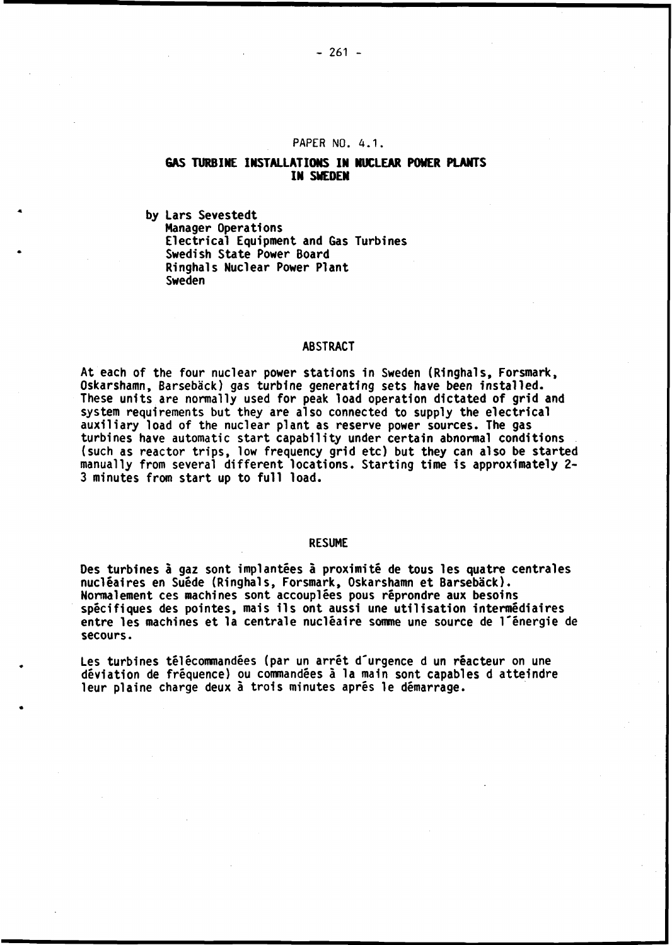#### **PAPER NO. 4.1.**

# **GAS TURBINE INSTALLATIONS IN NUCLEAR POWER PLANTS IN SWEDEN**

**by Lars Sevestedt Manager Operations Electrical Equipment and Gas Turbines Swedish State Power Board Ringhals Nuclear Power Plant Sweden**

#### **ABSTRACT**

**At each of the four nuclear power stations in Sweden (Ringhals, Forsmark, Oskarshamn, Barsebâck) gas turbine generating sets have been installed. These units are normally used for peak load operation dictated of grid and system requirements but they are also connected to supply the electrical auxiliary load of the nuclear plant as reserve power sources. The gas turbines have automatic start capability under certain abnormal conditions (such as reactor trips, low frequency grid etc) but they can also be started manually from several different locations. Starting time is approximately 2- 3 minutes from start up to full load.**

#### **RESUME**

**Des turbines à gaz sont implantées à proximité de tous les quatre centrales nucléaires en Suède (Ringhals, Forsmark, Oskarshamn et Barsebâck). Normalement ces machines sont accouplées pous réprondre aux besoins spécifiques des pointes, mais ils ont aussi une utilisation intermédiaires entre les machines et la centrale nucléaire somme une source de l'énergie de secours.**

**Les turbines télécommandées (par un arrêt d'urgence d un réacteur on une déviation de fréquence) ou commandées à la main sont capables d atteindre leur plaine charge deux à trois minutes après le démarrage.**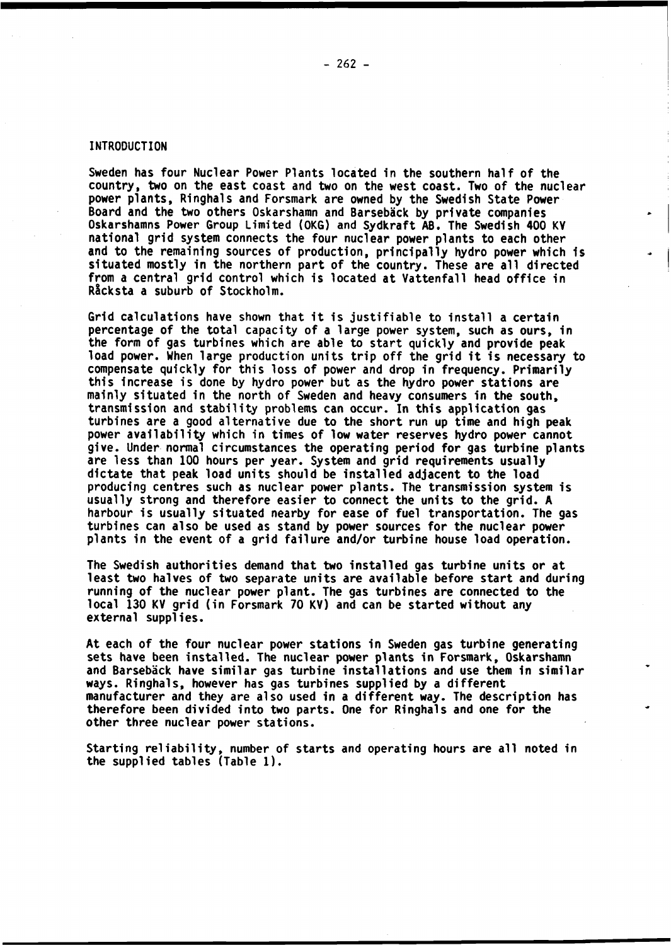**Sweden has four Nuclear Power Plants located in the southern half of the country, two on the east coast and two on the west coast. Two of the nuclear power plants, Ringhals and Forsmark are owned by the Swedish State Power Board and the two others Oskarshamn and Barsebâck by private companies Oskarshamns Power Group Limited (OKG) and Sydkraft AB. The Swedish 400 KV national grid system connects the four nuclear power plants to each other and to the remaining sources of production, principally hydro power which is situated mostly in the northern part of the country. These are all directed from a central grid control which is located at Vattenfall head office in Râcksta a suburb of Stockholm.**

**Grid calculations have shown that it is justifiable to install a certain percentage of the total capacity of a large power system, such as ours, in the form of gas turbines which are able to start quickly and provide peak load power. When large production units trip off the grid it is necessary to compensate quickly for this loss of power and drop in frequency. Primarily this increase is done by hydro power but as the hydro power stations are mainly situated in the north of Sweden and heavy consumers in the south, transmission and stability problems can occur. In this application gas turbines are a good alternative due to the short run up time and high peak power availability which in times of low water reserves hydro power cannot give. Under normal circumstances the operating period for gas turbine plants are less than 100 hours per year. System and grid requirements usually dictate that peak load units should be installed adjacent to the load producing centres such as nuclear power plants. The transmission system is usually strong and therefore easier to connect the units to the grid. A harbour is usually situated nearby for ease of fuel transportation. The gas turbines can also be used as stand by power sources for the nuclear power plants in the event of a grid failure and/or turbine house load operation.**

**The Swedish authorities demand that two installed gas turbine units or at least two halves of two separate units are available before start and during running of the nuclear power plant. The gas turbines are connected to the local 130 KV grid (in Forsmark 70 KV) and can be started without any external supplies.**

**At each of the four nuclear power stations in Sweden gas turbine generating sets have been installed. The nuclear power plants in Forsmark, Oskarshamn and Barsebâck have similar gas turbine installations and use them in similar ways. Ringhals, however has gas turbines supplied by a different manufacturer and they are also used in a different way. The description has therefore been divided into two parts. One for Ringhals and one for the other three nuclear power stations.**

**Starting reliability, number of starts and operating hours are all noted in the supplied tables (Table 1).**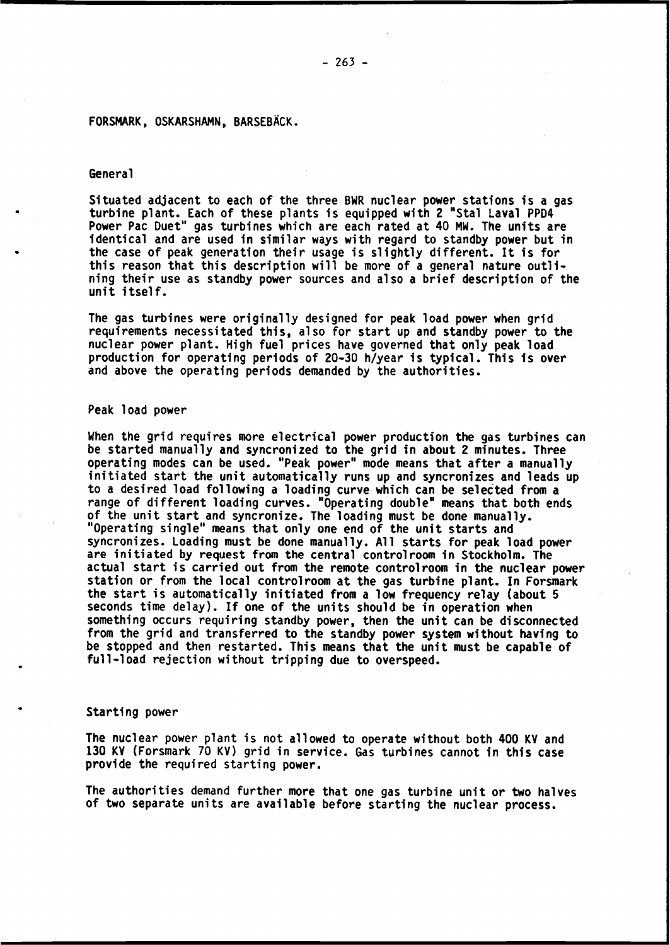## **FORSMARK, OSKARSHAMN, BARSEBÀCK.**

#### **General**

**Situated adjacent to each of the three BWR nuclear power stations is a gas turbine plant. Each of these plants is equipped with 2 "Stal Laval PPD4 Power Pac Duet" gas turbines which are each rated at 40 MW. The units are identical and are used in similar ways with regard to standby power but in the case of peak generation their usage is slightly different. It is for this reason that this description will be more of a general nature outlining their use as standby power sources and also a brief description of the unit itself.**

**The gas turbines were originally designed for peak load power when grid requirements necessitated this, also for start up and standby power to the nuclear power plant. High fuel prices have governed that only peak load production for operating periods of 20-30 h/year is typical. This is over and above the operating periods demanded by the authorities.**

#### **Peak load power**

**When the grid requires more electrical power production the gas turbines can be started manually and syncronized to the grid in about 2 minutes. Three operating modes can be used. "Peak power" mode means that after a manually initiated start the unit automatically runs up and syncronizes and leads up to a desired load following a loading curve which can be selected from a range of different loading curves. "Operating double" means that both ends of the unit start and syncronize. The loading must be done manually. "Operating single" means that only one end of the unit starts and syncronizes. Loading must be done manually. All starts for peak load power are initiated by request from the central control room in Stockholm. The actual start is carried out from the remote controlroom in the nuclear power station or from the local controlroom at the gas turbine plant. In Forsmark the start is automatically initiated from a low frequency relay (about 5 seconds time delay). If one of the units should be in operation when something occurs requiring standby power, then the unit can be disconnected from the grid and transferred to the standby power system without having to be stopped and then restarted. This means that the unit must be capable of full-load rejection without tripping due to overspeed.**

### **Starting power**

**The nuclear power plant is not allowed to operate without both 400 KV and 130 KV (Forsmark 70 KV) grid in service. Gas turbines cannot in this case provide the required starting power.**

**The authorities demand further more that one gas turbine unit or two halves of two separate units are available before starting the nuclear process.**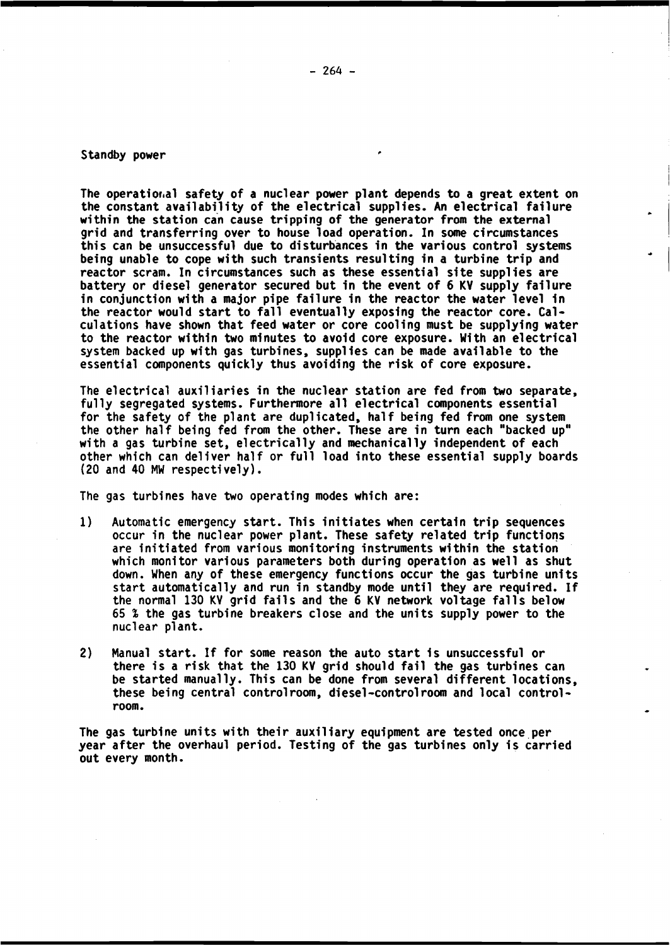# **Standby power**

**The operational safety of a nuclear power plant depends to a great extent on the constant availability of the electrical supplies. An electrical failure within the station can cause tripping of the generator from the external grid and transferring over to house load operation. In some circumstances this can be unsuccessful due to disturbances in the various control systems being unable to cope with such transients resulting in a turbine trip and reactor scram. In circumstances such as these essential site supplies are battery or diesel generator secured but in the event of 6 KV supply failure in conjunction with a major pipe failure in the reactor the water level in the reactor would start to fall eventually exposing the reactor core. Calculations have shown that feed water or core cooling must be supplying water to the reactor within two minutes to avoid core exposure. With an electrical system backed up with gas turbines, supplies can be made available to the essential components quickly thus avoiding the risk of core exposure.**

**The electrical auxiliaries in the nuclear station are fed from two separate, fully segregated systems. Furthermore all electrical components essential for the safety of the plant are duplicated, half being fed from one system the other half being fed from the other. These are in turn each "backed up" with a gas turbine set, electrically and mechanically independent of each other which can deliver half or full load into these essential supply boards (20 and 40 MW respectively).**

**The gas turbines have two operating modes which are:**

- **1) Automatic emergency start. This initiates when certain trip sequences occur in the nuclear power plant. These safety related trip functions are initiated from various monitoring instruments within the station which monitor various parameters both during operation as well as shut down. When any of these emergency functions occur the gas turbine units start automatically and run in standby mode until they are required. If the normal 130 KV grid fails and the 6 KV network voltage falls below 65** *%* **the gas turbine breakers close and the units supply power to the nuclear plant.**
- **2) Manual start. If for some reason the auto start 1s unsuccessful or there is a risk that the 130 KV grid should fail the gas turbines can be started manually. This can be done from several different locations, these being central controlroom, diesel-controlroom and local controlroom.**

**The gas turbine units with their auxiliary equipment are tested once per year after the overhaul period. Testing of the gas turbines only is carried out every month.**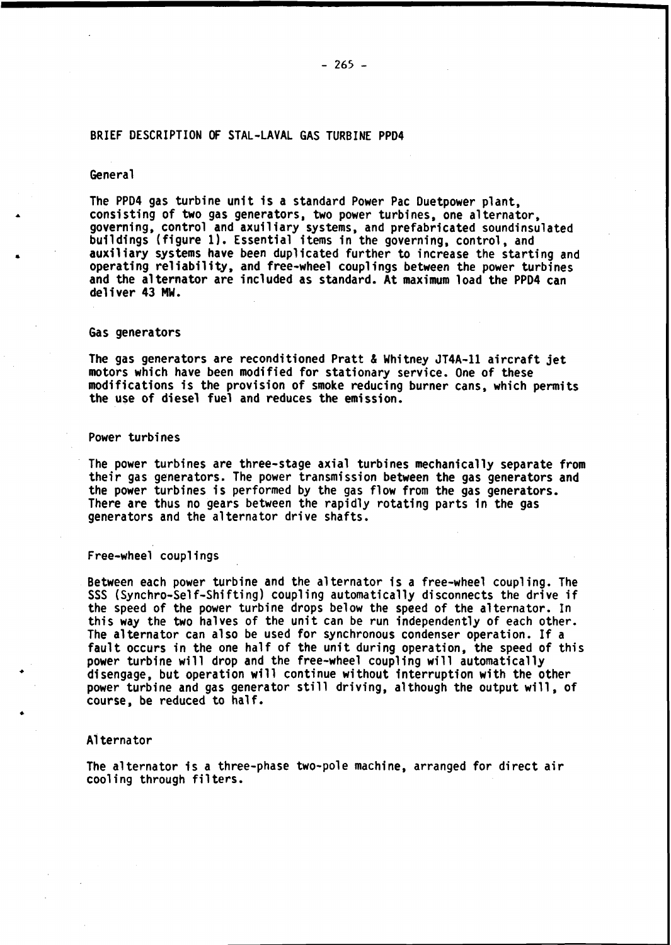### **BRIEF DESCRIPTION OF STAL-LAVAL GAS TURBINE PPD4**

#### **General**

**The PPD4 gas turbine unit is a standard Power Pac Duetpower plant, consisting of two gas generators, two power turbines, one alternator, governing, control and axuiliary systems, and prefabricated soundinsulated buildings (figure 1). Essential items in the governing, control, and auxiliary systems have been duplicated further to increase the starting and operating reliability, and free-wheel couplings between the power turbines and the alternator are included as standard. At maximum load the PPD4 can deliver 43 MW.**

### **Gas generators**

**The gas generators are reconditioned Pratt & Whitney JT4A-11 aircraft jet motors which have been modified for stationary service. One of these modifications is the provision of smoke reducing burner cans, which permits the use of diesel fuel and reduces the emission.**

#### **Power turbines**

**The power turbines are three-stage axial turbines mechanically separate from their gas generators. The power transmission between the gas generators and the power turbines is performed by the gas flow from the gas generators. There are thus no gears between the rapidly rotating parts in the gas generators and the alternator drive shafts.**

## **Free-wheel couplings**

**Between each power turbine and the alternator is a free-wheel coupling. The SSS (Synchro-Self-Shifting) coupling automatically disconnects the drive if the speed of the power turbine drops below the speed of the alternator. In this way the two halves of the unit can be run independently of each other. The alternator can also be used for synchronous condenser operation. If a fault occurs in the one half of the unit during operation, the speed of this power turbine will drop and the free-wheel coupling will automatically disengage, but operation will continue without interruption with the other power turbine and gas generator still driving, although the output will, of course, be reduced to half.**

### **Alternator**

**The alternator is a three-phase two-pole machine, arranged for direct air cooling through filters.**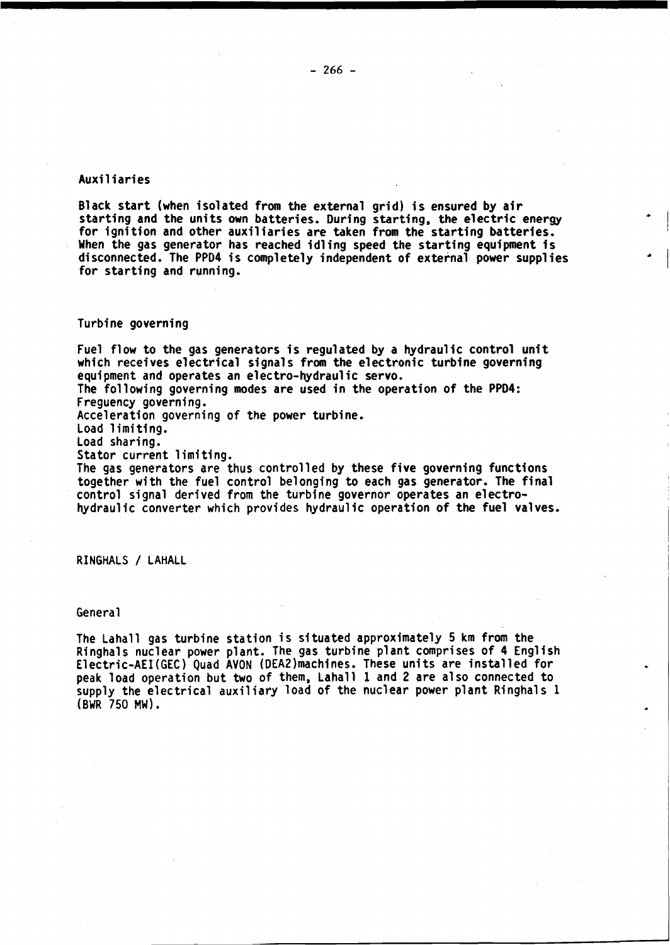## **Auxiliaries**

**Black start (when isolated from the external grid) is ensured by air starting and the units own batteries. During starting, the electric energy for ignition and other auxiliaries are taken from the starting batteries. When the gas generator has reached idling speed the starting equipment is disconnected. The PPD4 is completely independent of external power supplies for starting and running.**

### **Turbine governing**

**Fuel flow to the gas generators is regulated by a hydraulic control unit which receives electrical signals from the electronic turbine governing equipment and operates an electro-hydraulic servo. The following governing modes are used in the operation of the PPD4: Freguency governing. Acceleration governing of the power turbine. Load limiting. Load sharing. Stator current limiting. The gas generators are thus controlled by these five governing functions**

**together with the fuel control belonging to each gas generator. The final control signal derived from the turbine governor operates an electrohydraulic converter which provides hydraulic operation of the fuel valves.**

**RINGHALS / LAHALL**

## **General**

**The Lahall gas turbine station is situated approximately 5 km from the Ringhals nuclear power plant. The gas turbine plant comprises of 4 English Electric-AEI(GEC) Quad AVON (DEA2)machines. These units are installed for peak load operation but two of them, Lahall 1 and 2 are also connected to supply the electrical auxiliary load of the nuclear power plant Ringhals 1 (BWR 750 MW).**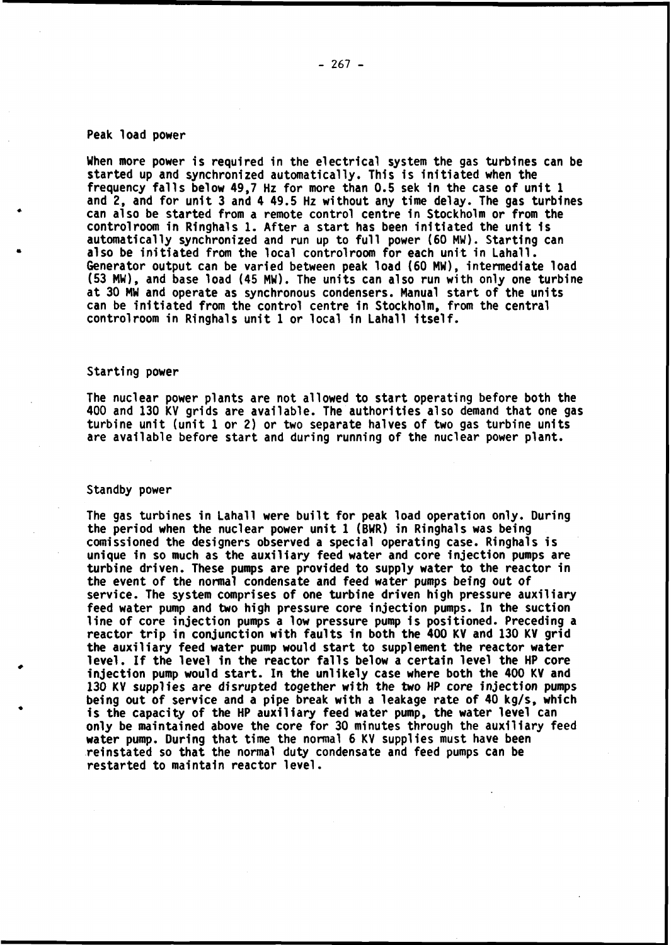#### **Peak load power**

**When more power is required in the electrical system the gas turbines can be started up and synchronized automatically. This is initiated when the frequency falls below 49,7 Hz for more than 0.5 sek in the case of unit 1 and 2, and for unit 3 and 4 49.5 Hz without any time delay. The gas turbines can also be started from a remote control centre in Stockholm or from the control room in Ringhals 1. After a start has been initiated the unit 1s automatically synchronized and run up to full power (60 MW). Starting can also be initiated from the local controlroom for each unit in Lahall. Generator output can be varied between peak load (60 MW), intermediate load (53 MW), and base load (45 MW). The units can also run with only one turbine at 30 MW and operate as synchronous condensers. Manual start of the units can be initiated from the control centre in Stockholm, from the central controlroom in Ringhals unit 1 or local in Lahall itself.**

## **Starting power**

**The nuclear power plants are not allowed to start operating before both the 400 and 130 KV grids are available. The authorities also demand that one gas turbine unit (unit 1 or 2) or two separate halves of two gas turbine units are available before start and during running of the nuclear power plant.**

#### **Standby power**

**The gas turbines in Lahall were built for peak load operation only. During the period when the nuclear power unit 1 (BWR) in Ringhals was being comissioned the designers observed a special operating case. Ringhals is unique in so much as the auxiliary feed water and core injection pumps are turbine driven. These pumps are provided to supply water to the reactor in the event of the normal condensate and feed water pumps being out of service. The system comprises of one turbine driven high pressure auxiliary feed water pump and two high pressure core injection pumps. In the suction line of core injection pumps a low pressure pump is positioned. Preceding a reactor trip in conjunction with faults in both the 400 KV and 130 KV grid the auxiliary feed water pump would start to supplement the reactor water level. If the level in the reactor falls below a certain level the HP core injection pump would start. In the unlikely case where both the 400 KV and 130 KV supplies are disrupted together with the two HP core injection pumps being out of service and a pipe break with a leakage rate of 40 kg/s, which is the capacity of the HP auxiliary feed water pump, the water level can only be maintained above the core for 30 minutes through the auxiliary feed water pump. During that time the normal 6 KV supplies must have been reinstated so that the normal duty condensate and feed pumps can be restarted to maintain reactor level.**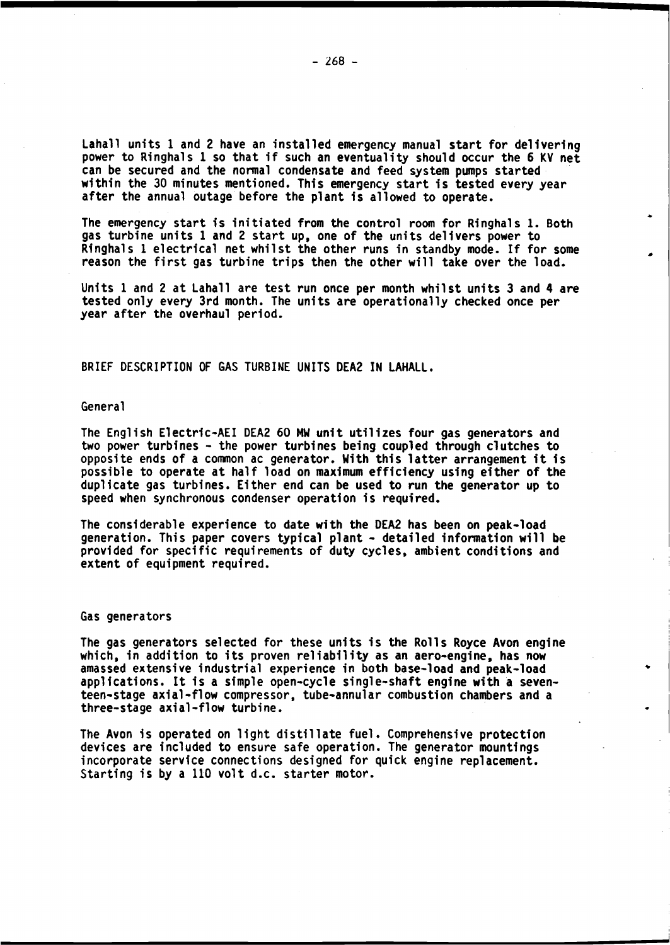**Lahall units 1 and 2 have an installed emergency manual start for delivering power to Ringhals 1 so that if such an eventuality should occur the 6 KV net can be secured and the normal condensate and feed system pumps started within the 30 minutes mentioned. This emergency start is tested every year after the annual outage before the plant 1s allowed to operate.**

**The emergency start is initiated from the control room for Ringhals 1. Both gas turbine units 1 and 2 start up, one of the units delivers power to Ringhals 1 electrical net whilst the other runs in standby mode. If for some reason the first gas turbine trips then the other will take over the load.**

**Units 1 and 2 at Lahall are test run once per month whilst units 3 and 4 are tested only every 3rd month. The units are operationally checked once per year after the overhaul period.**

**BRIEF DESCRIPTION OF GAS TURBINE UNITS DEA2 IN LAHALL.**

#### **General**

**The English Electr1c-AEI DEA2 60 MW unit utilizes four gas generators and two power turbines - the power turbines being coupled through clutches to opposite ends of a common ac generator. With this latter arrangement it is possible to operate at half load on maximum efficiency using either of the duplicate gas turbines. Either end can be used to run the generator up to speed when synchronous condenser operation is required.**

**The considerable experience to date with the DEA2 has been on peak-load generation. This paper covers typical plant - detailed information will be provided for specific requirements of duty cycles, ambient conditions and extent of equipment required.**

#### **Gas generators**

**The gas generators selected for these units is the Rolls Royce Avon engine which, in addition to its proven reliability as an aero-engine, has now amassed extensive industrial experience in both base-load and peak-load applications. It is a simple open-cycle single-shaft engine with a seventeen-stage axial-flow compressor, tube-annular combustion chambers and a three-stage axial-flow turbine.**

**The Avon is operated on light distillate fuel. Comprehensive protection devices are included to ensure safe operation. The generator mountings incorporate service connections designed for quick engine replacement. Starting is by a 110 volt d.c. starter motor.**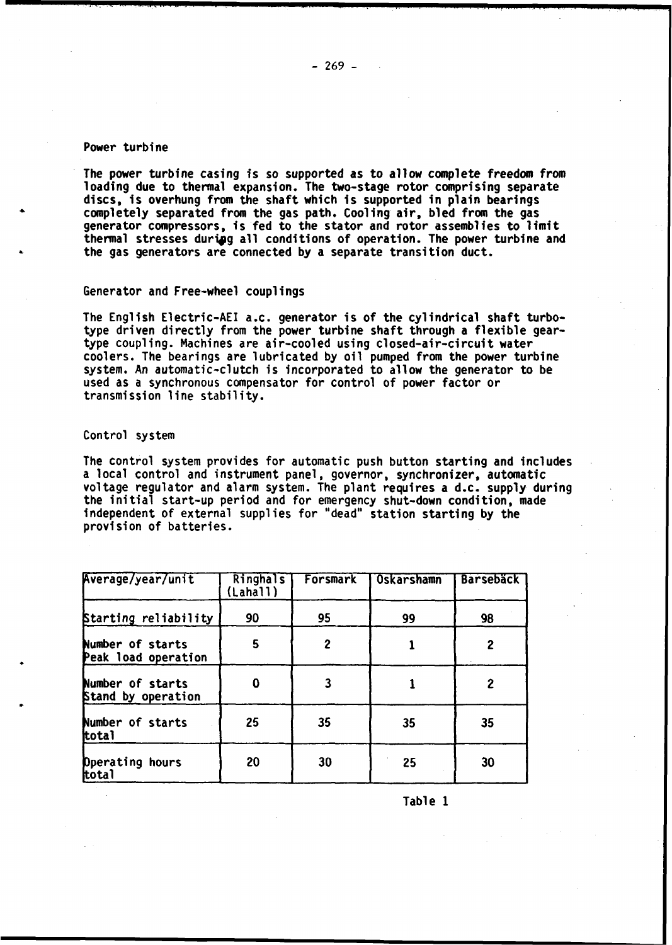# **Power turbine**

**The power turbine casing is so supported as to allow complete freedom from loading due to thermal expansion. The two-stage rotor comprising separate discs, is overhung from the shaft which is supported in plain bearings completely separated from the gas path. Cooling air, bled from the gas generator compressors, is fed to the stator and rotor assemblies to limit** thermal stresses during all conditions of operation. The power turbine and **the gas generators are connected by a separate transition duct.**

# **Generator and Free-wheel couplings**

**The English Electric-AEI a.c. generator is of the cylindrical shaft turbotype driven directly from the power turbine shaft through a flexible geartype coupling. Machines are air-cooled using closed-air-circuit water coolers. The bearings are lubricated by oil pumped from the power turbine system. An automatic-clutch is incorporated to allow the generator to be used as a synchronous compensator for control of power factor or transmission line stability.**

## **Control system**

**The control system provides for automatic push button starting and includes a local control and instrument panel, governor, synchronizer, automatic voltage regulator and alarm system. The plant requires a d.c. supply during the initial start-up period and for emergency shut-down condition, made independent of external supplies for "dead" station starting by the provision of batteries.**

| Average/year/unit                       | Ringhals<br>(Lahall) | Forsmark     | Oskarshamn | <b>Barsebäck</b> |
|-----------------------------------------|----------------------|--------------|------------|------------------|
| Starting reliability                    | 90                   | 95           | 99         | 98               |
| Number of starts<br>Peak load operation | 5                    | $\mathbf{2}$ |            | $\overline{2}$   |
| Number of starts<br>Stand by operation  | 0                    |              |            | 2                |
| Number of starts<br>ttota1              | 25                   | 35           | 35         | 35               |
| Dperating hours<br>tota1                | 20                   | 30           | 25         | 30               |

**Table 1**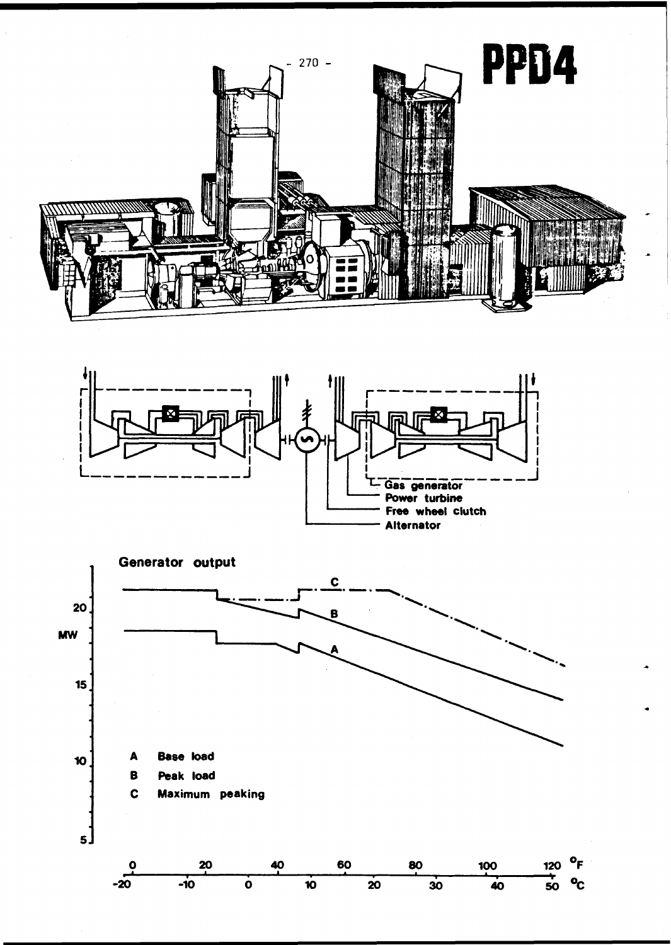



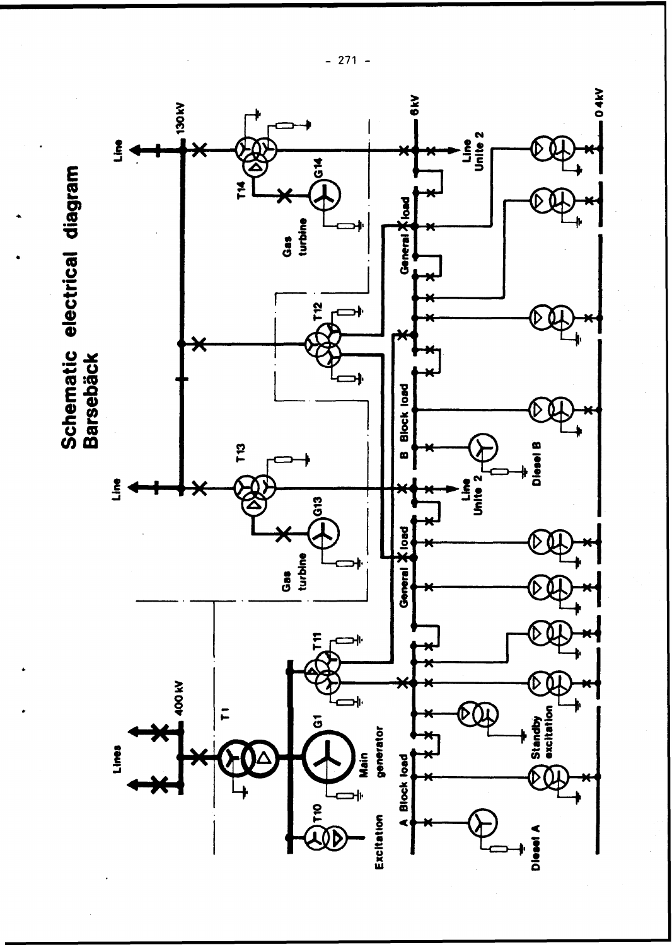

 $-271 -$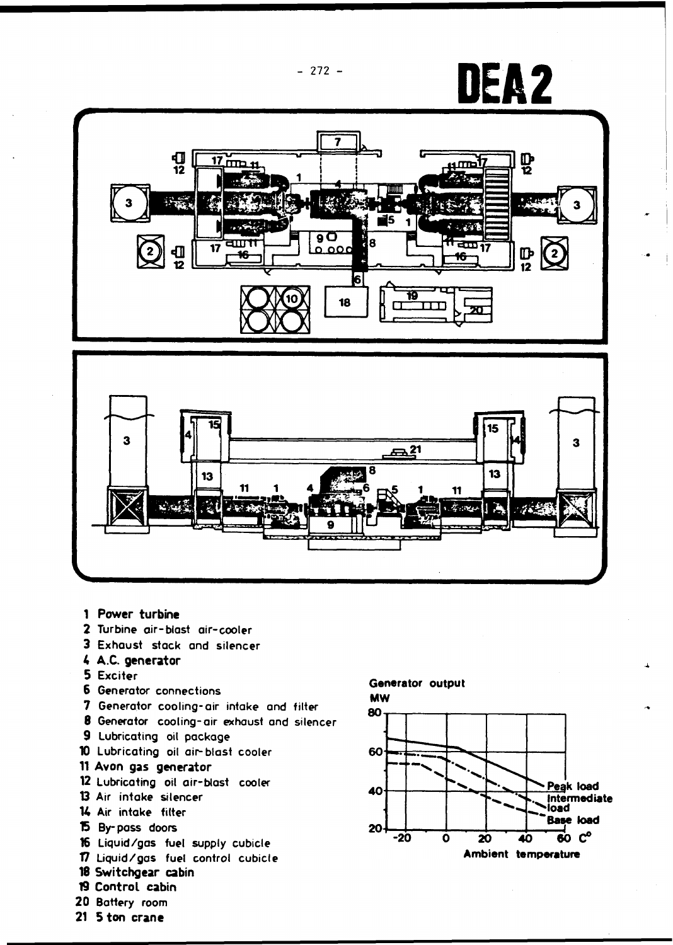

- 1 Power turbine
- **2 Turbine air-blast air-cooler**
- **3 Exhaust stack and silencer**
- 4 A.C. generator
- **5 Exciter**
- **6 Generator connections**
- 7 **Generator cooling-air intake and filter**
- **8 Generator cooling-air exhaust and silencer**
- **9 Lubricating oil package**
- **10 Lubricating oil air-blast cooler**
- 11 Avon gas generator
- 12 **Lubricating oil air-blast cooler**
- **13 Air intake silencer**
- **K Air intake filter**
- **15 By-pass doors**
- **16 Liquid/gas fuel supply cubicle**
- <sup>17</sup> **Liquid/gas fuel control cubicle** 18 Switchgear cabin 19 Control cabin
- 
- 
- **20 Battery room**
- 21 5 ton crane

### **Generator output**